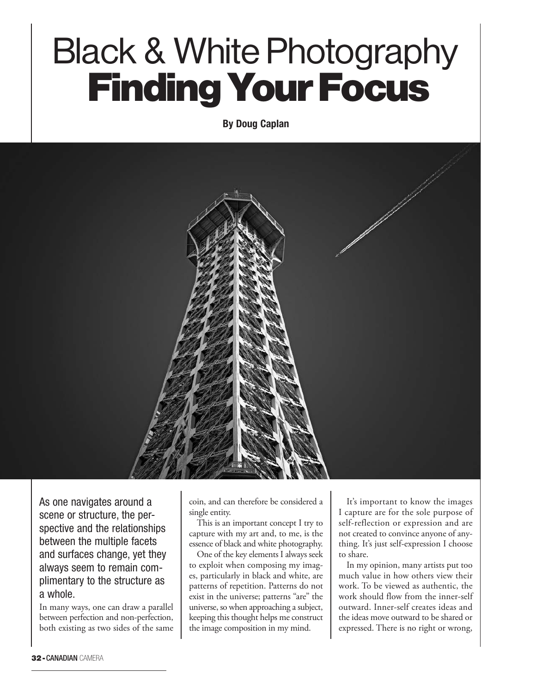## Black & White Photography Finding Your Focus

**By Doug Caplan**



As one navigates around a scene or structure, the perspective and the relationships between the multiple facets and surfaces change, yet they always seem to remain complimentary to the structure as a whole.

In many ways, one can draw a parallel between perfection and non-perfection, both existing as two sides of the same

coin, and can therefore be considered a single entity.

This is an important concept I try to capture with my art and, to me, is the essence of black and white photography.

One of the key elements I always seek to exploit when composing my images, particularly in black and white, are patterns of repetition. Patterns do not exist in the universe; patterns "are" the universe, so when approaching a subject, keeping this thought helps me construct the image composition in my mind.

It's important to know the images I capture are for the sole purpose of self-reflection or expression and are not created to convince anyone of anything. It's just self-expression I choose to share.

In my opinion, many artists put too much value in how others view their work. To be viewed as authentic, the work should flow from the inner-self outward. Inner-self creates ideas and the ideas move outward to be shared or expressed. There is no right or wrong,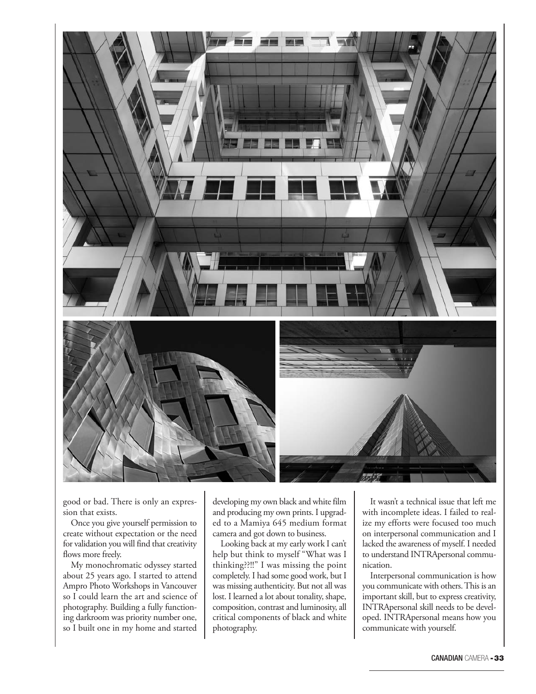

good or bad. There is only an expression that exists.

Once you give yourself permission to create without expectation or the need for validation you will find that creativity flows more freely.

My monochromatic odyssey started about 25 years ago. I started to attend Ampro Photo Workshops in Vancouver so I could learn the art and science of photography. Building a fully functioning darkroom was priority number one, so I built one in my home and started

developing my own black and white film and producing my own prints. I upgraded to a Mamiya 645 medium format camera and got down to business.

Looking back at my early work I can't help but think to myself "What was I thinking??!!" I was missing the point completely. I had some good work, but I was missing authenticity. But not all was lost. I learned a lot about tonality, shape, composition, contrast and luminosity, all critical components of black and white photography.

It wasn't a technical issue that left me with incomplete ideas. I failed to realize my efforts were focused too much on interpersonal communication and I lacked the awareness of myself. I needed to understand INTRApersonal communication.

Interpersonal communication is how you communicate with others. This is an important skill, but to express creativity, INTRApersonal skill needs to be developed. INTRApersonal means how you communicate with yourself.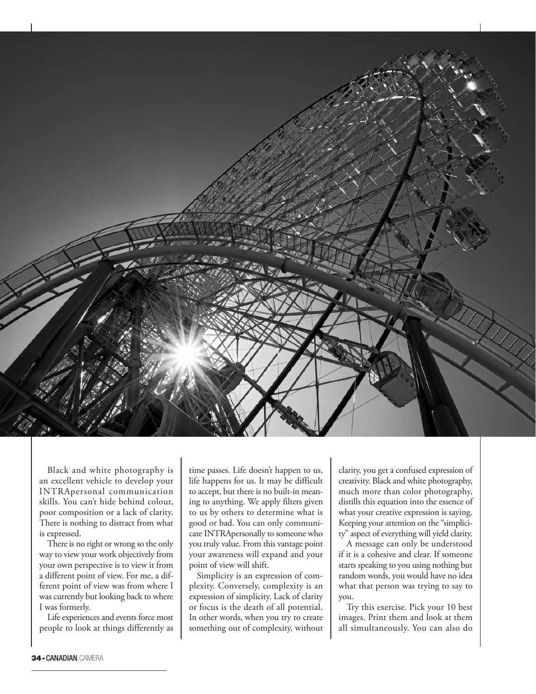

Black and white photography is an excellent vehicle to develop your INTRApersonal communication skills. You can't hide behind colour, poor composition or a lack of clarity. There is nothing to distract from what is expressed.

There is no right or wrong so the only way to view your work objectively from your own perspective is to view it from a different point of view. For me, a different point of view was from where I was currently but looking back to where I was formerly.

Life experiences and events force most people to look at things differently as

time passes. Life doesn't happen to us, life happens for us. It may be difficult to accept, but there is no built-in meaning to anything. We apply filters given to us by others to determine what is good or bad. You can only communicate INTRApersonally to someone who you truly value. From this vantage point your awareness will expand and your point of view will shift.

Simplicity is an expression of complexity. Conversely, complexity is an expression of simplicity. Lack of clarity or focus is the death of all potential. In other words, when you try to create something out of complexity, without clarity, you get a confused expression of creativity. Black and white photography, much more than color photography, distills this equation into the essence of what your creative expression is saying. Keeping your attention on the "simplicity" aspect of everything will yield clarity.

A message can only be understood if it is a cohesive and clear. If someone starts speaking to you using nothing but random words, you would have no idea what that person was trying to say to you.

Try this exercise. Pick your 10 best images. Print them and look at them all simultaneously. You can also do